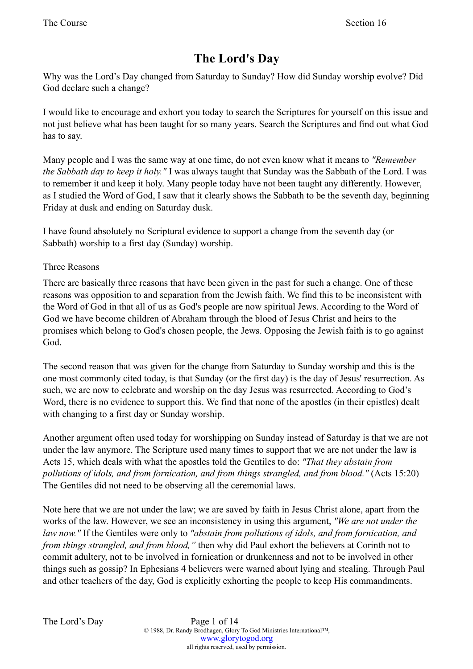# **The Lord's Day**

Why was the Lord's Day changed from Saturday to Sunday? How did Sunday worship evolve? Did God declare such a change?

I would like to encourage and exhort you today to search the Scriptures for yourself on this issue and not just believe what has been taught for so many years. Search the Scriptures and find out what God has to say.

Many people and I was the same way at one time, do not even know what it means to *"Remember the Sabbath day to keep it holy."* I was always taught that Sunday was the Sabbath of the Lord. I was to remember it and keep it holy. Many people today have not been taught any differently. However, as I studied the Word of God, I saw that it clearly shows the Sabbath to be the seventh day, beginning Friday at dusk and ending on Saturday dusk.

I have found absolutely no Scriptural evidence to support a change from the seventh day (or Sabbath) worship to a first day (Sunday) worship.

## Three Reasons

There are basically three reasons that have been given in the past for such a change. One of these reasons was opposition to and separation from the Jewish faith. We find this to be inconsistent with the Word of God in that all of us as God's people are now spiritual Jews. According to the Word of God we have become children of Abraham through the blood of Jesus Christ and heirs to the promises which belong to God's chosen people, the Jews. Opposing the Jewish faith is to go against God.

The second reason that was given for the change from Saturday to Sunday worship and this is the one most commonly cited today, is that Sunday (or the first day) is the day of Jesus' resurrection. As such, we are now to celebrate and worship on the day Jesus was resurrected. According to God's Word, there is no evidence to support this. We find that none of the apostles (in their epistles) dealt with changing to a first day or Sunday worship.

Another argument often used today for worshipping on Sunday instead of Saturday is that we are not under the law anymore. The Scripture used many times to support that we are not under the law is Acts 15, which deals with what the apostles told the Gentiles to do: *"That they abstain from pollutions of idols, and from fornication, and from things strangled, and from blood."* (Acts 15:20) The Gentiles did not need to be observing all the ceremonial laws.

Note here that we are not under the law; we are saved by faith in Jesus Christ alone, apart from the works of the law. However, we see an inconsistency in using this argument, *"We are not under the law now."* If the Gentiles were only to *"abstain from pollutions of idols, and from fornication, and from things strangled, and from blood,"* then why did Paul exhort the believers at Corinth not to commit adultery, not to be involved in fornication or drunkenness and not to be involved in other things such as gossip? In Ephesians 4 believers were warned about lying and stealing. Through Paul and other teachers of the day, God is explicitly exhorting the people to keep His commandments.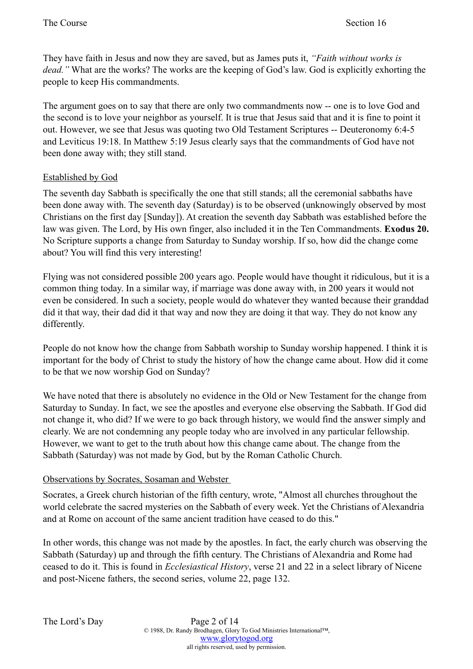They have faith in Jesus and now they are saved, but as James puts it, *"Faith without works is dead."* What are the works? The works are the keeping of God's law. God is explicitly exhorting the people to keep His commandments.

The argument goes on to say that there are only two commandments now -- one is to love God and the second is to love your neighbor as yourself. It is true that Jesus said that and it is fine to point it out. However, we see that Jesus was quoting two Old Testament Scriptures -- Deuteronomy 6:4-5 and Leviticus 19:18. In Matthew 5:19 Jesus clearly says that the commandments of God have not been done away with; they still stand.

# Established by God

The seventh day Sabbath is specifically the one that still stands; all the ceremonial sabbaths have been done away with. The seventh day (Saturday) is to be observed (unknowingly observed by most Christians on the first day [Sunday]). At creation the seventh day Sabbath was established before the law was given. The Lord, by His own finger, also included it in the Ten Commandments. **Exodus 20.** No Scripture supports a change from Saturday to Sunday worship. If so, how did the change come about? You will find this very interesting!

Flying was not considered possible 200 years ago. People would have thought it ridiculous, but it is a common thing today. In a similar way, if marriage was done away with, in 200 years it would not even be considered. In such a society, people would do whatever they wanted because their granddad did it that way, their dad did it that way and now they are doing it that way. They do not know any differently.

People do not know how the change from Sabbath worship to Sunday worship happened. I think it is important for the body of Christ to study the history of how the change came about. How did it come to be that we now worship God on Sunday?

We have noted that there is absolutely no evidence in the Old or New Testament for the change from Saturday to Sunday. In fact, we see the apostles and everyone else observing the Sabbath. If God did not change it, who did? If we were to go back through history, we would find the answer simply and clearly. We are not condemning any people today who are involved in any particular fellowship. However, we want to get to the truth about how this change came about. The change from the Sabbath (Saturday) was not made by God, but by the Roman Catholic Church.

#### Observations by Socrates, Sosaman and Webster

Socrates, a Greek church historian of the fifth century, wrote, "Almost all churches throughout the world celebrate the sacred mysteries on the Sabbath of every week. Yet the Christians of Alexandria and at Rome on account of the same ancient tradition have ceased to do this."

In other words, this change was not made by the apostles. In fact, the early church was observing the Sabbath (Saturday) up and through the fifth century. The Christians of Alexandria and Rome had ceased to do it. This is found in *Ecclesiastical History*, verse 21 and 22 in a select library of Nicene and post-Nicene fathers, the second series, volume 22, page 132.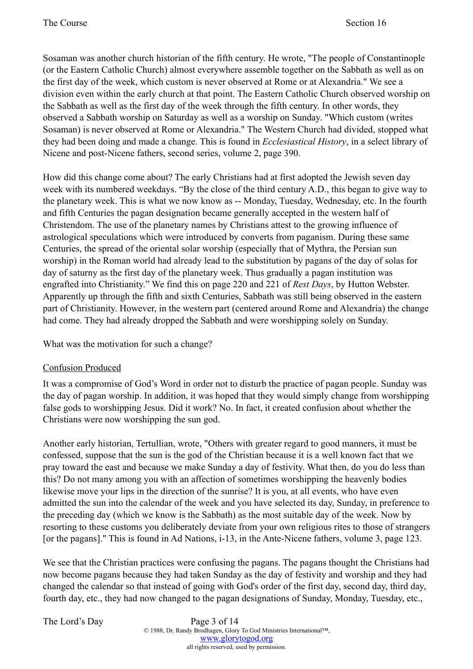Sosaman was another church historian of the fifth century. He wrote, "The people of Constantinople (or the Eastern Catholic Church) almost everywhere assemble together on the Sabbath as well as on the first day of the week, which custom is never observed at Rome or at Alexandria." We see a division even within the early church at that point. The Eastern Catholic Church observed worship on the Sabbath as well as the first day of the week through the fifth century. In other words, they observed a Sabbath worship on Saturday as well as a worship on Sunday. "Which custom (writes Sosaman) is never observed at Rome or Alexandria." The Western Church had divided, stopped what they had been doing and made a change. This is found in *Ecclesiastical History*, in a select library of Nicene and post-Nicene fathers, second series, volume 2, page 390.

How did this change come about? The early Christians had at first adopted the Jewish seven day week with its numbered weekdays. "By the close of the third century A.D., this began to give way to the planetary week. This is what we now know as -- Monday, Tuesday, Wednesday, etc. In the fourth and fifth Centuries the pagan designation became generally accepted in the western half of Christendom. The use of the planetary names by Christians attest to the growing influence of astrological speculations which were introduced by converts from paganism. During these same Centuries, the spread of the oriental solar worship (especially that of Mythra, the Persian sun worship) in the Roman world had already lead to the substitution by pagans of the day of solas for day of saturny as the first day of the planetary week. Thus gradually a pagan institution was engrafted into Christianity." We find this on page 220 and 221 of *Rest Days*, by Hutton Webster. Apparently up through the fifth and sixth Centuries, Sabbath was still being observed in the eastern part of Christianity. However, in the western part (centered around Rome and Alexandria) the change had come. They had already dropped the Sabbath and were worshipping solely on Sunday.

What was the motivation for such a change?

# Confusion Produced

It was a compromise of God's Word in order not to disturb the practice of pagan people. Sunday was the day of pagan worship. In addition, it was hoped that they would simply change from worshipping false gods to worshipping Jesus. Did it work? No. In fact, it created confusion about whether the Christians were now worshipping the sun god.

Another early historian, Tertullian, wrote, "Others with greater regard to good manners, it must be confessed, suppose that the sun is the god of the Christian because it is a well known fact that we pray toward the east and because we make Sunday a day of festivity. What then, do you do less than this? Do not many among you with an affection of sometimes worshipping the heavenly bodies likewise move your lips in the direction of the sunrise? It is you, at all events, who have even admitted the sun into the calendar of the week and you have selected its day, Sunday, in preference to the preceding day (which we know is the Sabbath) as the most suitable day of the week. Now by resorting to these customs you deliberately deviate from your own religious rites to those of strangers [or the pagans]." This is found in Ad Nations, i-13, in the Ante-Nicene fathers, volume 3, page 123.

We see that the Christian practices were confusing the pagans. The pagans thought the Christians had now become pagans because they had taken Sunday as the day of festivity and worship and they had changed the calendar so that instead of going with God's order of the first day, second day, third day, fourth day, etc., they had now changed to the pagan designations of Sunday, Monday, Tuesday, etc.,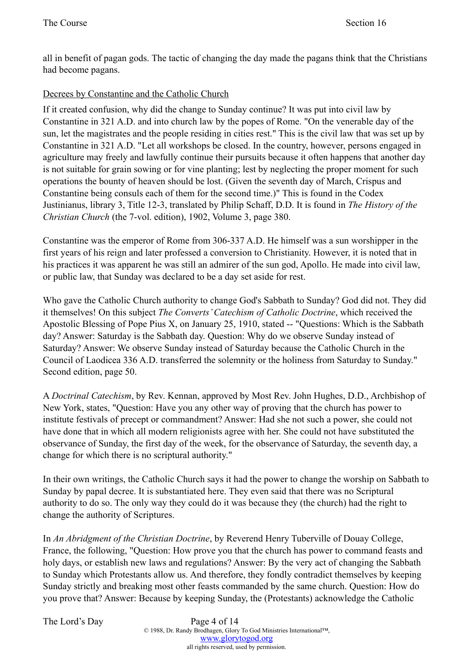all in benefit of pagan gods. The tactic of changing the day made the pagans think that the Christians had become pagans.

## Decrees by Constantine and the Catholic Church

If it created confusion, why did the change to Sunday continue? It was put into civil law by Constantine in 321 A.D. and into church law by the popes of Rome. "On the venerable day of the sun, let the magistrates and the people residing in cities rest." This is the civil law that was set up by Constantine in 321 A.D. "Let all workshops be closed. In the country, however, persons engaged in agriculture may freely and lawfully continue their pursuits because it often happens that another day is not suitable for grain sowing or for vine planting; lest by neglecting the proper moment for such operations the bounty of heaven should be lost. (Given the seventh day of March, Crispus and Constantine being consuls each of them for the second time.)" This is found in the Codex Justinianus, library 3, Title 12-3, translated by Philip Schaff, D.D. It is found in *The History of the Christian Church* (the 7-vol. edition), 1902, Volume 3, page 380.

Constantine was the emperor of Rome from 306-337 A.D. He himself was a sun worshipper in the first years of his reign and later professed a conversion to Christianity. However, it is noted that in his practices it was apparent he was still an admirer of the sun god, Apollo. He made into civil law, or public law, that Sunday was declared to be a day set aside for rest.

Who gave the Catholic Church authority to change God's Sabbath to Sunday? God did not. They did it themselves! On this subject *The Converts' Catechism of Catholic Doctrine*, which received the Apostolic Blessing of Pope Pius X, on January 25, 1910, stated -- "Questions: Which is the Sabbath day? Answer: Saturday is the Sabbath day. Question: Why do we observe Sunday instead of Saturday? Answer: We observe Sunday instead of Saturday because the Catholic Church in the Council of Laodicea 336 A.D. transferred the solemnity or the holiness from Saturday to Sunday." Second edition, page 50.

A *Doctrinal Catechism*, by Rev. Kennan, approved by Most Rev. John Hughes, D.D., Archbishop of New York, states, "Question: Have you any other way of proving that the church has power to institute festivals of precept or commandment? Answer: Had she not such a power, she could not have done that in which all modern religionists agree with her. She could not have substituted the observance of Sunday, the first day of the week, for the observance of Saturday, the seventh day, a change for which there is no scriptural authority."

In their own writings, the Catholic Church says it had the power to change the worship on Sabbath to Sunday by papal decree. It is substantiated here. They even said that there was no Scriptural authority to do so. The only way they could do it was because they (the church) had the right to change the authority of Scriptures.

In *An Abridgment of the Christian Doctrine*, by Reverend Henry Tuberville of Douay College, France, the following, "Question: How prove you that the church has power to command feasts and holy days, or establish new laws and regulations? Answer: By the very act of changing the Sabbath to Sunday which Protestants allow us. And therefore, they fondly contradict themselves by keeping Sunday strictly and breaking most other feasts commanded by the same church. Question: How do you prove that? Answer: Because by keeping Sunday, the (Protestants) acknowledge the Catholic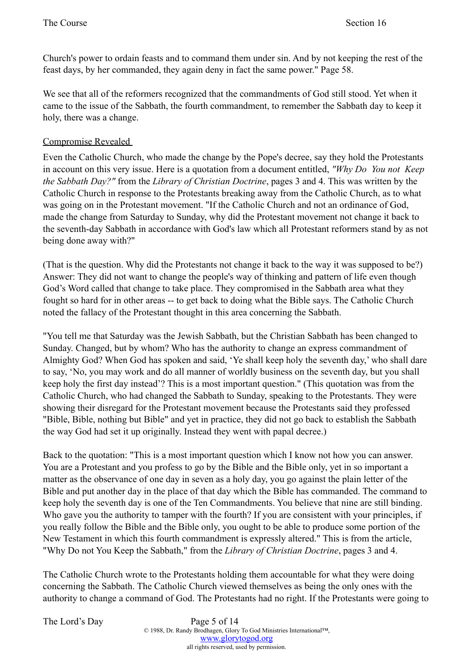Church's power to ordain feasts and to command them under sin. And by not keeping the rest of the feast days, by her commanded, they again deny in fact the same power." Page 58.

We see that all of the reformers recognized that the commandments of God still stood. Yet when it came to the issue of the Sabbath, the fourth commandment, to remember the Sabbath day to keep it holy, there was a change.

#### Compromise Revealed

Even the Catholic Church, who made the change by the Pope's decree, say they hold the Protestants in account on this very issue. Here is a quotation from a document entitled, *"Why Do You not Keep the Sabbath Day?"* from the *Library of Christian Doctrine*, pages 3 and 4. This was written by the Catholic Church in response to the Protestants breaking away from the Catholic Church, as to what was going on in the Protestant movement. "If the Catholic Church and not an ordinance of God, made the change from Saturday to Sunday, why did the Protestant movement not change it back to the seventh-day Sabbath in accordance with God's law which all Protestant reformers stand by as not being done away with?"

(That is the question. Why did the Protestants not change it back to the way it was supposed to be?) Answer: They did not want to change the people's way of thinking and pattern of life even though God's Word called that change to take place. They compromised in the Sabbath area what they fought so hard for in other areas -- to get back to doing what the Bible says. The Catholic Church noted the fallacy of the Protestant thought in this area concerning the Sabbath.

"You tell me that Saturday was the Jewish Sabbath, but the Christian Sabbath has been changed to Sunday. Changed, but by whom? Who has the authority to change an express commandment of Almighty God? When God has spoken and said, 'Ye shall keep holy the seventh day,' who shall dare to say, 'No, you may work and do all manner of worldly business on the seventh day, but you shall keep holy the first day instead'? This is a most important question." (This quotation was from the Catholic Church, who had changed the Sabbath to Sunday, speaking to the Protestants. They were showing their disregard for the Protestant movement because the Protestants said they professed "Bible, Bible, nothing but Bible" and yet in practice, they did not go back to establish the Sabbath the way God had set it up originally. Instead they went with papal decree.)

Back to the quotation: "This is a most important question which I know not how you can answer. You are a Protestant and you profess to go by the Bible and the Bible only, yet in so important a matter as the observance of one day in seven as a holy day, you go against the plain letter of the Bible and put another day in the place of that day which the Bible has commanded. The command to keep holy the seventh day is one of the Ten Commandments. You believe that nine are still binding. Who gave you the authority to tamper with the fourth? If you are consistent with your principles, if you really follow the Bible and the Bible only, you ought to be able to produce some portion of the New Testament in which this fourth commandment is expressly altered." This is from the article, "Why Do not You Keep the Sabbath," from the *Library of Christian Doctrine*, pages 3 and 4.

The Catholic Church wrote to the Protestants holding them accountable for what they were doing concerning the Sabbath. The Catholic Church viewed themselves as being the only ones with the authority to change a command of God. The Protestants had no right. If the Protestants were going to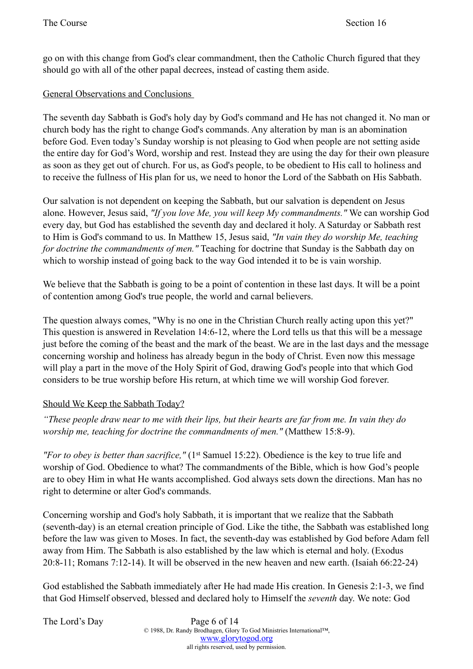go on with this change from God's clear commandment, then the Catholic Church figured that they should go with all of the other papal decrees, instead of casting them aside.

#### General Observations and Conclusions

The seventh day Sabbath is God's holy day by God's command and He has not changed it. No man or church body has the right to change God's commands. Any alteration by man is an abomination before God. Even today's Sunday worship is not pleasing to God when people are not setting aside the entire day for God's Word, worship and rest. Instead they are using the day for their own pleasure as soon as they get out of church. For us, as God's people, to be obedient to His call to holiness and to receive the fullness of His plan for us, we need to honor the Lord of the Sabbath on His Sabbath.

Our salvation is not dependent on keeping the Sabbath, but our salvation is dependent on Jesus alone. However, Jesus said, *"If you love Me, you will keep My commandments."* We can worship God every day, but God has established the seventh day and declared it holy. A Saturday or Sabbath rest to Him is God's command to us. In Matthew 15, Jesus said, *"In vain they do worship Me, teaching for doctrine the commandments of men."* Teaching for doctrine that Sunday is the Sabbath day on which to worship instead of going back to the way God intended it to be is vain worship.

We believe that the Sabbath is going to be a point of contention in these last days. It will be a point of contention among God's true people, the world and carnal believers.

The question always comes, "Why is no one in the Christian Church really acting upon this yet?" This question is answered in Revelation 14:6-12, where the Lord tells us that this will be a message just before the coming of the beast and the mark of the beast. We are in the last days and the message concerning worship and holiness has already begun in the body of Christ. Even now this message will play a part in the move of the Holy Spirit of God, drawing God's people into that which God considers to be true worship before His return, at which time we will worship God forever.

#### Should We Keep the Sabbath Today?

*"These people draw near to me with their lips, but their hearts are far from me. In vain they do worship me, teaching for doctrine the commandments of men."* (Matthew 15:8-9).

*"For to obey is better than sacrifice,"* (1st Samuel 15:22). Obedience is the key to true life and worship of God. Obedience to what? The commandments of the Bible, which is how God's people are to obey Him in what He wants accomplished. God always sets down the directions. Man has no right to determine or alter God's commands.

Concerning worship and God's holy Sabbath, it is important that we realize that the Sabbath (seventh-day) is an eternal creation principle of God. Like the tithe, the Sabbath was established long before the law was given to Moses. In fact, the seventh-day was established by God before Adam fell away from Him. The Sabbath is also established by the law which is eternal and holy. (Exodus 20:8-11; Romans 7:12-14). It will be observed in the new heaven and new earth. (Isaiah 66:22-24)

God established the Sabbath immediately after He had made His creation. In Genesis 2:1-3, we find that God Himself observed, blessed and declared holy to Himself the *seventh* day. We note: God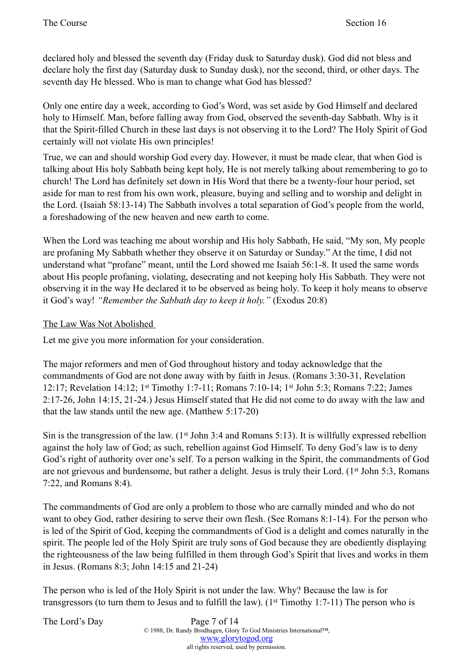declared holy and blessed the seventh day (Friday dusk to Saturday dusk). God did not bless and declare holy the first day (Saturday dusk to Sunday dusk), nor the second, third, or other days. The seventh day He blessed. Who is man to change what God has blessed?

Only one entire day a week, according to God's Word, was set aside by God Himself and declared holy to Himself. Man, before falling away from God, observed the seventh-day Sabbath. Why is it that the Spirit-filled Church in these last days is not observing it to the Lord? The Holy Spirit of God certainly will not violate His own principles!

True, we can and should worship God every day. However, it must be made clear, that when God is talking about His holy Sabbath being kept holy, He is not merely talking about remembering to go to church! The Lord has definitely set down in His Word that there be a twenty-four hour period, set aside for man to rest from his own work, pleasure, buying and selling and to worship and delight in the Lord. (Isaiah 58:13-14) The Sabbath involves a total separation of God's people from the world, a foreshadowing of the new heaven and new earth to come.

When the Lord was teaching me about worship and His holy Sabbath, He said, "My son, My people are profaning My Sabbath whether they observe it on Saturday or Sunday." At the time, I did not understand what "profane" meant, until the Lord showed me Isaiah 56:1-8. It used the same words about His people profaning, violating, desecrating and not keeping holy His Sabbath. They were not observing it in the way He declared it to be observed as being holy. To keep it holy means to observe it God's way! *"Remember the Sabbath day to keep it holy."* (Exodus 20:8)

#### The Law Was Not Abolished

Let me give you more information for your consideration.

The major reformers and men of God throughout history and today acknowledge that the commandments of God are not done away with by faith in Jesus. (Romans 3:30-31, Revelation 12:17; Revelation 14:12; 1st Timothy 1:7-11; Romans 7:10-14; 1st John 5:3; Romans 7:22; James 2:17-26, John 14:15, 21-24.) Jesus Himself stated that He did not come to do away with the law and that the law stands until the new age. (Matthew 5:17-20)

Sin is the transgression of the law.  $(1^{st}$  John 3:4 and Romans 5:13). It is willfully expressed rebellion against the holy law of God; as such, rebellion against God Himself. To deny God's law is to deny God's right of authority over one's self. To a person walking in the Spirit, the commandments of God are not grievous and burdensome, but rather a delight. Jesus is truly their Lord. (1st John 5:3, Romans 7:22, and Romans 8:4).

The commandments of God are only a problem to those who are carnally minded and who do not want to obey God, rather desiring to serve their own flesh. (See Romans 8:1-14). For the person who is led of the Spirit of God, keeping the commandments of God is a delight and comes naturally in the spirit. The people led of the Holy Spirit are truly sons of God because they are obediently displaying the righteousness of the law being fulfilled in them through God's Spirit that lives and works in them in Jesus. (Romans 8:3; John 14:15 and 21-24)

The person who is led of the Holy Spirit is not under the law. Why? Because the law is for transgressors (to turn them to Jesus and to fulfill the law). ( $1<sup>st</sup>$  Timothy 1:7-11) The person who is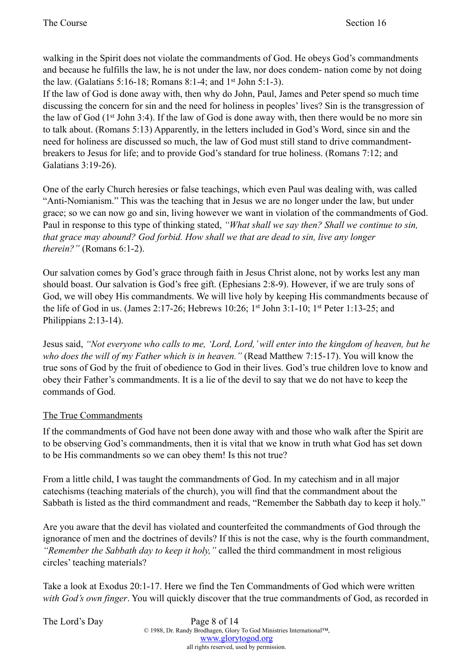walking in the Spirit does not violate the commandments of God. He obeys God's commandments and because he fulfills the law, he is not under the law, nor does condem- nation come by not doing the law. (Galatians 5:16-18; Romans 8:1-4; and 1st John 5:1-3).

If the law of God is done away with, then why do John, Paul, James and Peter spend so much time discussing the concern for sin and the need for holiness in peoples' lives? Sin is the transgression of the law of God ( $1<sup>st</sup>$  John 3:4). If the law of God is done away with, then there would be no more sin to talk about. (Romans 5:13) Apparently, in the letters included in God's Word, since sin and the need for holiness are discussed so much, the law of God must still stand to drive commandmentbreakers to Jesus for life; and to provide God's standard for true holiness. (Romans 7:12; and Galatians 3:19-26).

One of the early Church heresies or false teachings, which even Paul was dealing with, was called "Anti-Nomianism." This was the teaching that in Jesus we are no longer under the law, but under grace; so we can now go and sin, living however we want in violation of the commandments of God. Paul in response to this type of thinking stated, *"What shall we say then? Shall we continue to sin, that grace may abound? God forbid. How shall we that are dead to sin, live any longer therein?"* (Romans 6:1-2).

Our salvation comes by God's grace through faith in Jesus Christ alone, not by works lest any man should boast. Our salvation is God's free gift. (Ephesians 2:8-9). However, if we are truly sons of God, we will obey His commandments. We will live holy by keeping His commandments because of the life of God in us. (James 2:17-26; Hebrews 10:26; 1<sup>st</sup> John 3:1-10; 1<sup>st</sup> Peter 1:13-25; and Philippians 2:13-14).

Jesus said, *"Not everyone who calls to me, 'Lord, Lord,' will enter into the kingdom of heaven, but he who does the will of my Father which is in heaven."* (Read Matthew 7:15-17). You will know the true sons of God by the fruit of obedience to God in their lives. God's true children love to know and obey their Father's commandments. It is a lie of the devil to say that we do not have to keep the commands of God.

# The True Commandments

If the commandments of God have not been done away with and those who walk after the Spirit are to be observing God's commandments, then it is vital that we know in truth what God has set down to be His commandments so we can obey them! Is this not true?

From a little child, I was taught the commandments of God. In my catechism and in all major catechisms (teaching materials of the church), you will find that the commandment about the Sabbath is listed as the third commandment and reads, "Remember the Sabbath day to keep it holy."

Are you aware that the devil has violated and counterfeited the commandments of God through the ignorance of men and the doctrines of devils? If this is not the case, why is the fourth commandment, *"Remember the Sabbath day to keep it holy,"* called the third commandment in most religious circles' teaching materials?

Take a look at Exodus 20:1-17. Here we find the Ten Commandments of God which were written *with God's own finger*. You will quickly discover that the true commandments of God, as recorded in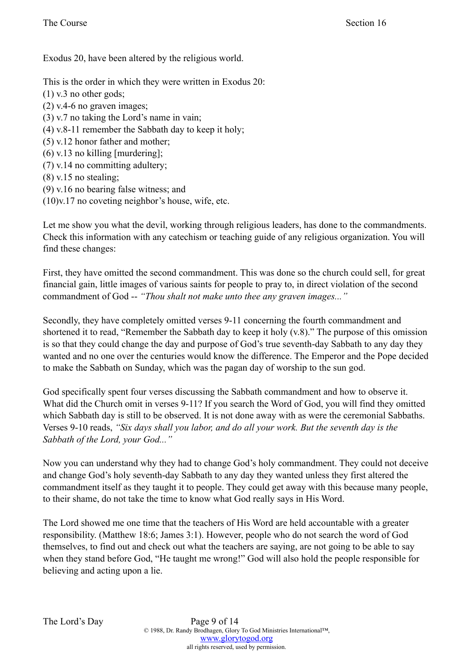Exodus 20, have been altered by the religious world.

This is the order in which they were written in Exodus 20: (1) v.3 no other gods; (2) v.4-6 no graven images; (3) v.7 no taking the Lord's name in vain; (4) v.8-11 remember the Sabbath day to keep it holy; (5) v.12 honor father and mother; (6) v.13 no killing [murdering]; (7) v.14 no committing adultery; (8) v.15 no stealing; (9) v.16 no bearing false witness; and (10)v.17 no coveting neighbor's house, wife, etc.

Let me show you what the devil, working through religious leaders, has done to the commandments. Check this information with any catechism or teaching guide of any religious organization. You will find these changes:

First, they have omitted the second commandment. This was done so the church could sell, for great financial gain, little images of various saints for people to pray to, in direct violation of the second commandment of God -- *"Thou shalt not make unto thee any graven images..."* 

Secondly, they have completely omitted verses 9-11 concerning the fourth commandment and shortened it to read, "Remember the Sabbath day to keep it holy (v.8)." The purpose of this omission is so that they could change the day and purpose of God's true seventh-day Sabbath to any day they wanted and no one over the centuries would know the difference. The Emperor and the Pope decided to make the Sabbath on Sunday, which was the pagan day of worship to the sun god.

God specifically spent four verses discussing the Sabbath commandment and how to observe it. What did the Church omit in verses 9-11? If you search the Word of God, you will find they omitted which Sabbath day is still to be observed. It is not done away with as were the ceremonial Sabbaths. Verses 9-10 reads, *"Six days shall you labor, and do all your work. But the seventh day is the Sabbath of the Lord, your God..."* 

Now you can understand why they had to change God's holy commandment. They could not deceive and change God's holy seventh-day Sabbath to any day they wanted unless they first altered the commandment itself as they taught it to people. They could get away with this because many people, to their shame, do not take the time to know what God really says in His Word.

The Lord showed me one time that the teachers of His Word are held accountable with a greater responsibility. (Matthew 18:6; James 3:1). However, people who do not search the word of God themselves, to find out and check out what the teachers are saying, are not going to be able to say when they stand before God, "He taught me wrong!" God will also hold the people responsible for believing and acting upon a lie.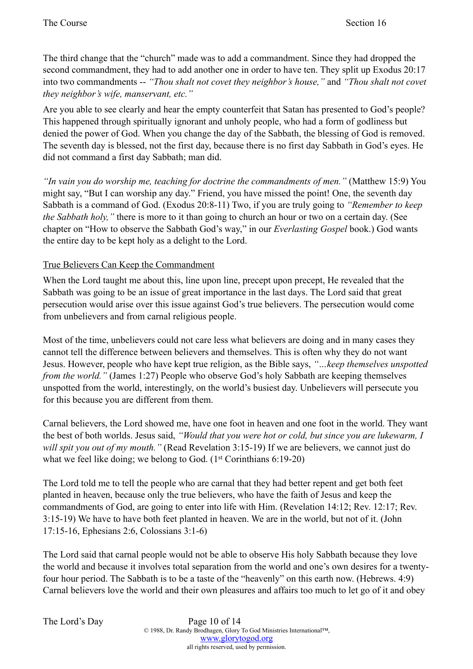The third change that the "church" made was to add a commandment. Since they had dropped the second commandment, they had to add another one in order to have ten. They split up Exodus 20:17 into two commandments -- *"Thou shalt not covet they neighbor's house,"* and *"Thou shalt not covet they neighbor's wife, manservant, etc."* 

Are you able to see clearly and hear the empty counterfeit that Satan has presented to God's people? This happened through spiritually ignorant and unholy people, who had a form of godliness but denied the power of God. When you change the day of the Sabbath, the blessing of God is removed. The seventh day is blessed, not the first day, because there is no first day Sabbath in God's eyes. He did not command a first day Sabbath; man did.

*"In vain you do worship me, teaching for doctrine the commandments of men."* (Matthew 15:9) You might say, "But I can worship any day." Friend, you have missed the point! One, the seventh day Sabbath is a command of God. (Exodus 20:8-11) Two, if you are truly going to *"Remember to keep the Sabbath holy,"* there is more to it than going to church an hour or two on a certain day. (See chapter on "How to observe the Sabbath God's way," in our *Everlasting Gospel* book.) God wants the entire day to be kept holy as a delight to the Lord.

## True Believers Can Keep the Commandment

When the Lord taught me about this, line upon line, precept upon precept, He revealed that the Sabbath was going to be an issue of great importance in the last days. The Lord said that great persecution would arise over this issue against God's true believers. The persecution would come from unbelievers and from carnal religious people.

Most of the time, unbelievers could not care less what believers are doing and in many cases they cannot tell the difference between believers and themselves. This is often why they do not want Jesus. However, people who have kept true religion, as the Bible says, *"…keep themselves unspotted from the world."* (James 1:27) People who observe God's holy Sabbath are keeping themselves unspotted from the world, interestingly, on the world's busiest day. Unbelievers will persecute you for this because you are different from them.

Carnal believers, the Lord showed me, have one foot in heaven and one foot in the world. They want the best of both worlds. Jesus said, *"Would that you were hot or cold, but since you are lukewarm, I will spit you out of my mouth."* (Read Revelation 3:15-19) If we are believers, we cannot just do what we feel like doing; we belong to God. (1<sup>st</sup> Corinthians 6:19-20)

The Lord told me to tell the people who are carnal that they had better repent and get both feet planted in heaven, because only the true believers, who have the faith of Jesus and keep the commandments of God, are going to enter into life with Him. (Revelation 14:12; Rev. 12:17; Rev. 3:15-19) We have to have both feet planted in heaven. We are in the world, but not of it. (John 17:15-16, Ephesians 2:6, Colossians 3:1-6)

The Lord said that carnal people would not be able to observe His holy Sabbath because they love the world and because it involves total separation from the world and one's own desires for a twentyfour hour period. The Sabbath is to be a taste of the "heavenly" on this earth now. (Hebrews. 4:9) Carnal believers love the world and their own pleasures and affairs too much to let go of it and obey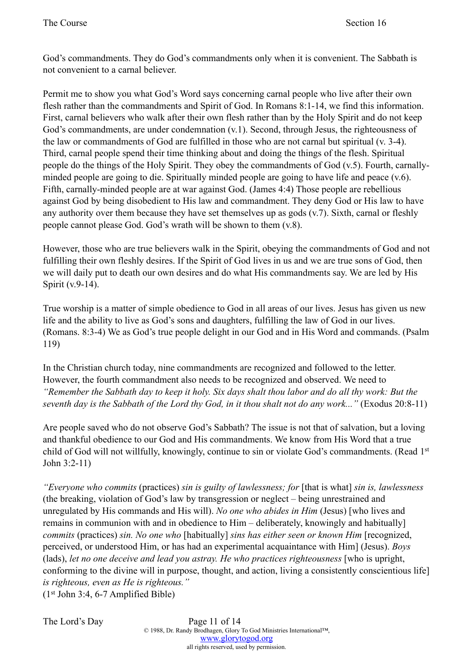God's commandments. They do God's commandments only when it is convenient. The Sabbath is not convenient to a carnal believer.

Permit me to show you what God's Word says concerning carnal people who live after their own flesh rather than the commandments and Spirit of God. In Romans 8:1-14, we find this information. First, carnal believers who walk after their own flesh rather than by the Holy Spirit and do not keep God's commandments, are under condemnation (v.1). Second, through Jesus, the righteousness of the law or commandments of God are fulfilled in those who are not carnal but spiritual (v. 3-4). Third, carnal people spend their time thinking about and doing the things of the flesh. Spiritual people do the things of the Holy Spirit. They obey the commandments of God (v.5). Fourth, carnallyminded people are going to die. Spiritually minded people are going to have life and peace (v.6). Fifth, carnally-minded people are at war against God. (James 4:4) Those people are rebellious against God by being disobedient to His law and commandment. They deny God or His law to have any authority over them because they have set themselves up as gods (v.7). Sixth, carnal or fleshly people cannot please God. God's wrath will be shown to them (v.8).

However, those who are true believers walk in the Spirit, obeying the commandments of God and not fulfilling their own fleshly desires. If the Spirit of God lives in us and we are true sons of God, then we will daily put to death our own desires and do what His commandments say. We are led by His Spirit (v.9-14).

True worship is a matter of simple obedience to God in all areas of our lives. Jesus has given us new life and the ability to live as God's sons and daughters, fulfilling the law of God in our lives. (Romans. 8:3-4) We as God's true people delight in our God and in His Word and commands. (Psalm 119)

In the Christian church today, nine commandments are recognized and followed to the letter. However, the fourth commandment also needs to be recognized and observed. We need to *"Remember the Sabbath day to keep it holy. Six days shalt thou labor and do all thy work: But the seventh day is the Sabbath of the Lord thy God, in it thou shalt not do any work..."* (Exodus 20:8-11)

Are people saved who do not observe God's Sabbath? The issue is not that of salvation, but a loving and thankful obedience to our God and His commandments. We know from His Word that a true child of God will not willfully, knowingly, continue to sin or violate God's commandments. (Read 1st John 3:2-11)

*"Everyone who commits* (practices) *sin is guilty of lawlessness; for* [that is what] *sin is, lawlessness* (the breaking, violation of God's law by transgression or neglect – being unrestrained and unregulated by His commands and His will). *No one who abides in Him* (Jesus) [who lives and remains in communion with and in obedience to Him – deliberately, knowingly and habitually] *commits* (practices) *sin. No one who* [habitually] *sins has either seen or known Him* [recognized, perceived, or understood Him, or has had an experimental acquaintance with Him] (Jesus). *Boys* (lads), *let no one deceive and lead you astray. He who practices righteousness* [who is upright, conforming to the divine will in purpose, thought, and action, living a consistently conscientious life] *is righteous, even as He is righteous."*  $(1<sup>st</sup> John 3:4, 6-7 Amplified Bible)$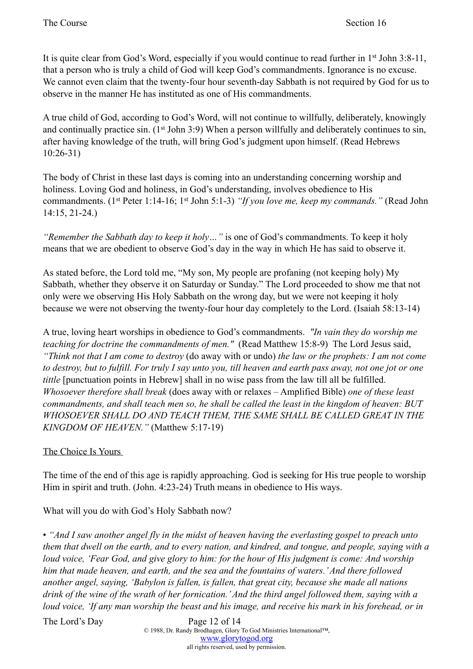It is quite clear from God's Word, especially if you would continue to read further in 1st John 3:8-11, that a person who is truly a child of God will keep God's commandments. Ignorance is no excuse. We cannot even claim that the twenty-four hour seventh-day Sabbath is not required by God for us to observe in the manner He has instituted as one of His commandments.

A true child of God, according to God's Word, will not continue to willfully, deliberately, knowingly and continually practice sin. (1<sup>st</sup> John 3:9) When a person willfully and deliberately continues to sin, after having knowledge of the truth, will bring God's judgment upon himself. (Read Hebrews 10:26-31)

The body of Christ in these last days is coming into an understanding concerning worship and holiness. Loving God and holiness, in God's understanding, involves obedience to His commandments. (1st Peter 1:14-16; 1st John 5:1-3) *"If you love me, keep my commands."* (Read John 14:15, 21-24.)

*"Remember the Sabbath day to keep it holy…"* is one of God's commandments. To keep it holy means that we are obedient to observe God's day in the way in which He has said to observe it.

As stated before, the Lord told me, "My son, My people are profaning (not keeping holy) My Sabbath, whether they observe it on Saturday or Sunday." The Lord proceeded to show me that not only were we observing His Holy Sabbath on the wrong day, but we were not keeping it holy because we were not observing the twenty-four hour day completely to the Lord. (Isaiah 58:13-14)

A true, loving heart worships in obedience to God's commandments. *"In vain they do worship me teaching for doctrine the commandments of men."* (Read Matthew 15:8-9) The Lord Jesus said, *"Think not that I am come to destroy* (do away with or undo) *the law or the prophets: I am not come to destroy, but to fulfill. For truly I say unto you, till heaven and earth pass away, not one jot or one tittle* [punctuation points in Hebrew] shall in no wise pass from the law till all be fulfilled. *Whosoever therefore shall break* (does away with or relaxes – Amplified Bible) *one of these least commandments, and shall teach men so, he shall be called the least in the kingdom of heaven: BUT WHOSOEVER SHALL DO AND TEACH THEM, THE SAME SHALL BE CALLED GREAT IN THE KINGDOM OF HEAVEN."* (Matthew 5:17-19)

# The Choice Is Yours

The time of the end of this age is rapidly approaching. God is seeking for His true people to worship Him in spirit and truth. (John. 4:23-24) Truth means in obedience to His ways.

What will you do with God's Holy Sabbath now?

• *"And I saw another angel fly in the midst of heaven having the everlasting gospel to preach unto them that dwell on the earth, and to every nation, and kindred, and tongue, and people, saying with a loud voice, 'Fear God, and give glory to him: for the hour of His judgment is come: And worship him that made heaven, and earth, and the sea and the fountains of waters.' And there followed another angel, saying, 'Babylon is fallen, is fallen, that great city, because she made all nations drink of the wine of the wrath of her fornication.' And the third angel followed them, saying with a loud voice, 'If any man worship the beast and his image, and receive his mark in his forehead, or in*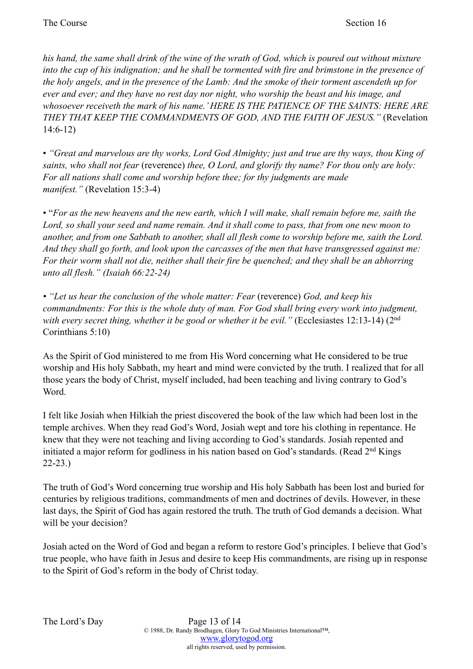*his hand, the same shall drink of the wine of the wrath of God, which is poured out without mixture into the cup of his indignation; and he shall be tormented with fire and brimstone in the presence of the holy angels, and in the presence of the Lamb: And the smoke of their torment ascendeth up for ever and ever; and they have no rest day nor night, who worship the beast and his image, and whosoever receiveth the mark of his name.' HERE IS THE PATIENCE OF THE SAINTS: HERE ARE THEY THAT KEEP THE COMMANDMENTS OF GOD, AND THE FAITH OF JESUS."* (Revelation 14:6-12)

• *"Great and marvelous are thy works, Lord God Almighty; just and true are thy ways, thou King of saints, who shall not fear* (reverence) *thee, O Lord, and glorify thy name? For thou only are holy: For all nations shall come and worship before thee; for thy judgments are made manifest."* (Revelation 15:3-4)

• "*For as the new heavens and the new earth, which I will make, shall remain before me, saith the Lord, so shall your seed and name remain. And it shall come to pass, that from one new moon to another, and from one Sabbath to another, shall all flesh come to worship before me, saith the Lord. And they shall go forth, and look upon the carcasses of the men that have transgressed against me: For their worm shall not die, neither shall their fire be quenched; and they shall be an abhorring unto all flesh." (Isaiah 66:22-24)* 

*• "Let us hear the conclusion of the whole matter: Fear* (reverence) *God, and keep his commandments: For this is the whole duty of man. For God shall bring every work into judgment, with every secret thing, whether it be good or whether it be evil."* (Ecclesiastes 12:13-14) (2nd Corinthians 5:10)

As the Spirit of God ministered to me from His Word concerning what He considered to be true worship and His holy Sabbath, my heart and mind were convicted by the truth. I realized that for all those years the body of Christ, myself included, had been teaching and living contrary to God's Word.

I felt like Josiah when Hilkiah the priest discovered the book of the law which had been lost in the temple archives. When they read God's Word, Josiah wept and tore his clothing in repentance. He knew that they were not teaching and living according to God's standards. Josiah repented and initiated a major reform for godliness in his nation based on God's standards. (Read 2<sup>nd</sup> Kings 22-23.)

The truth of God's Word concerning true worship and His holy Sabbath has been lost and buried for centuries by religious traditions, commandments of men and doctrines of devils. However, in these last days, the Spirit of God has again restored the truth. The truth of God demands a decision. What will be your decision?

Josiah acted on the Word of God and began a reform to restore God's principles. I believe that God's true people, who have faith in Jesus and desire to keep His commandments, are rising up in response to the Spirit of God's reform in the body of Christ today.